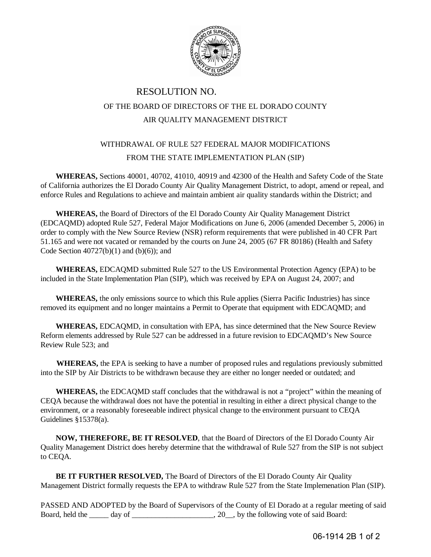

## RESOLUTION NO. OF THE BOARD OF DIRECTORS OF THE EL DORADO COUNTY AIR QUALITY MANAGEMENT DISTRICT

## WITHDRAWAL OF RULE 527 FEDERAL MAJOR MODIFICATIONS FROM THE STATE IMPLEMENTATION PLAN (SIP)

**WHEREAS,** Sections 40001, 40702, 41010, 40919 and 42300 of the Health and Safety Code of the State of California authorizes the El Dorado County Air Quality Management District, to adopt, amend or repeal, and enforce Rules and Regulations to achieve and maintain ambient air quality standards within the District; and

**WHEREAS,** the Board of Directors of the El Dorado County Air Quality Management District (EDCAQMD) adopted Rule 527, Federal Major Modifications on June 6, 2006 (amended December 5, 2006) in order to comply with the New Source Review (NSR) reform requirements that were published in 40 CFR Part 51.165 and were not vacated or remanded by the courts on June 24, 2005 (67 FR 80186) (Health and Safety Code Section  $40727(b)(1)$  and  $(b)(6)$ ; and

**WHEREAS,** EDCAQMD submitted Rule 527 to the US Environmental Protection Agency (EPA) to be included in the State Implementation Plan (SIP), which was received by EPA on August 24, 2007; and

**WHEREAS,** the only emissions source to which this Rule applies (Sierra Pacific Industries) has since removed its equipment and no longer maintains a Permit to Operate that equipment with EDCAQMD; and

**WHEREAS,** EDCAQMD, in consultation with EPA, has since determined that the New Source Review Reform elements addressed by Rule 527 can be addressed in a future revision to EDCAQMD's New Source Review Rule 523; and

**WHEREAS,** the EPA is seeking to have a number of proposed rules and regulations previously submitted into the SIP by Air Districts to be withdrawn because they are either no longer needed or outdated; and

**WHEREAS,** the EDCAQMD staff concludes that the withdrawal is not a "project" within the meaning of CEQA because the withdrawal does not have the potential in resulting in either a direct physical change to the environment, or a reasonably foreseeable indirect physical change to the environment pursuant to CEQA Guidelines §15378(a).

**NOW, THEREFORE, BE IT RESOLVED**, that the Board of Directors of the El Dorado County Air Quality Management District does hereby determine that the withdrawal of Rule 527 from the SIP is not subject to CEQA.

**BE IT FURTHER RESOLVED,** The Board of Directors of the El Dorado County Air Quality Management District formally requests the EPA to withdraw Rule 527 from the State Implemenation Plan (SIP).

PASSED AND ADOPTED by the Board of Supervisors of the County of El Dorado at a regular meeting of said Board, held the \_\_\_\_\_ day of \_\_\_\_\_\_\_\_\_\_\_\_\_\_\_\_\_\_\_, 20\_\_, by the following vote of said Board: